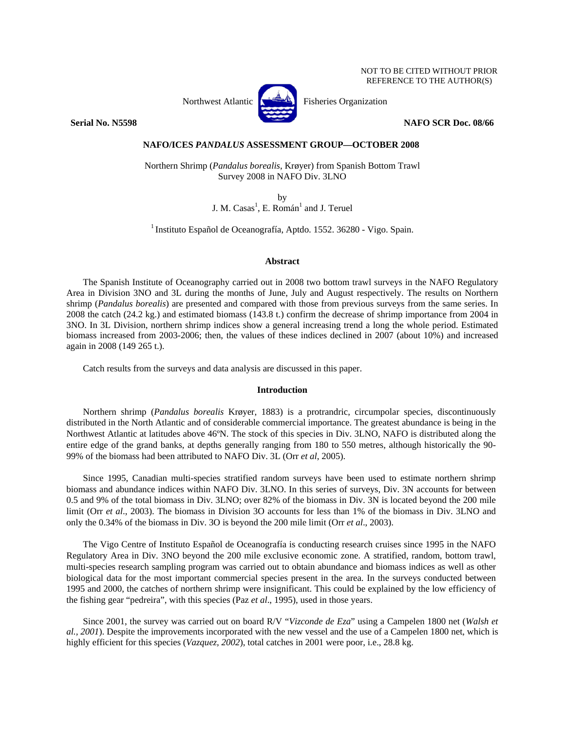#### NOT TO BE CITED WITHOUT PRIOR REFERENCE TO THE AUTHOR(S)



**Serial No. N5598 NAFO SCR Doc. 08/66** 

# **NAFO/ICES** *PANDALUS* **ASSESSMENT GROUP—OCTOBER 2008**

Northern Shrimp (*Pandalus borealis*, Krøyer) from Spanish Bottom Trawl Survey 2008 in NAFO Div. 3LNO

by

J. M. Casas<sup>1</sup>, E. Román<sup>1</sup> and J. Teruel

1 Instituto Español de Oceanografía, Aptdo. 1552. 36280 - Vigo. Spain.

# **Abstract**

The Spanish Institute of Oceanography carried out in 2008 two bottom trawl surveys in the NAFO Regulatory Area in Division 3NO and 3L during the months of June, July and August respectively. The results on Northern shrimp (*Pandalus borealis*) are presented and compared with those from previous surveys from the same series. In 2008 the catch (24.2 kg.) and estimated biomass (143.8 t.) confirm the decrease of shrimp importance from 2004 in 3NO. In 3L Division, northern shrimp indices show a general increasing trend a long the whole period. Estimated biomass increased from 2003-2006; then, the values of these indices declined in 2007 (about 10%) and increased again in 2008 (149 265 t.).

Catch results from the surveys and data analysis are discussed in this paper.

## **Introduction**

Northern shrimp (*Pandalus borealis* Krøyer, 1883) is a protrandric, circumpolar species, discontinuously distributed in the North Atlantic and of considerable commercial importance. The greatest abundance is being in the Northwest Atlantic at latitudes above 46ºN. The stock of this species in Div. 3LNO, NAFO is distributed along the entire edge of the grand banks, at depths generally ranging from 180 to 550 metres, although historically the 90- 99% of the biomass had been attributed to NAFO Div. 3L (Orr *et al*, 2005).

Since 1995, Canadian multi-species stratified random surveys have been used to estimate northern shrimp biomass and abundance indices within NAFO Div. 3LNO. In this series of surveys, Div. 3N accounts for between 0.5 and 9% of the total biomass in Div. 3LNO; over 82% of the biomass in Div. 3N is located beyond the 200 mile limit (Orr *et al*., 2003). The biomass in Division 3O accounts for less than 1% of the biomass in Div. 3LNO and only the 0.34% of the biomass in Div. 3O is beyond the 200 mile limit (Orr *et al*., 2003).

The Vigo Centre of Instituto Español de Oceanografía is conducting research cruises since 1995 in the NAFO Regulatory Area in Div. 3NO beyond the 200 mile exclusive economic zone. A stratified, random, bottom trawl, multi-species research sampling program was carried out to obtain abundance and biomass indices as well as other biological data for the most important commercial species present in the area. In the surveys conducted between 1995 and 2000, the catches of northern shrimp were insignificant. This could be explained by the low efficiency of the fishing gear "pedreira", with this species (Paz *et al*., 1995), used in those years.

Since 2001, the survey was carried out on board R/V "*Vizconde de Eza*" using a Campelen 1800 net (*Walsh et al., 2001*). Despite the improvements incorporated with the new vessel and the use of a Campelen 1800 net, which is highly efficient for this species (*Vazquez*, 2002), total catches in 2001 were poor, i.e., 28.8 kg.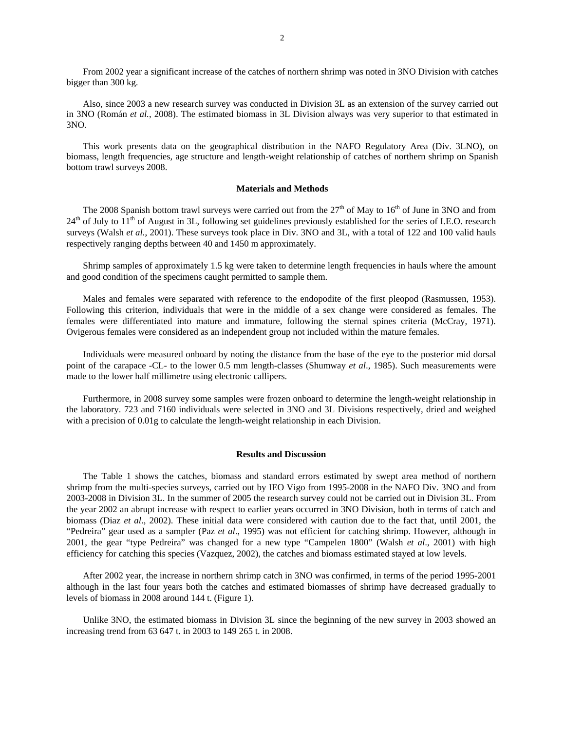From 2002 year a significant increase of the catches of northern shrimp was noted in 3NO Division with catches bigger than 300 kg.

Also, since 2003 a new research survey was conducted in Division 3L as an extension of the survey carried out in 3NO (Román *et al.*, 2008). The estimated biomass in 3L Division always was very superior to that estimated in 3NO.

This work presents data on the geographical distribution in the NAFO Regulatory Area (Div. 3LNO), on biomass, length frequencies, age structure and length-weight relationship of catches of northern shrimp on Spanish bottom trawl surveys 2008.

## **Materials and Methods**

The 2008 Spanish bottom trawl surveys were carried out from the  $27<sup>th</sup>$  of May to  $16<sup>th</sup>$  of June in 3NO and from  $24<sup>th</sup>$  of July to  $11<sup>th</sup>$  of August in 3L, following set guidelines previously established for the series of I.E.O. research surveys (Walsh *et al.*, 2001). These surveys took place in Div. 3NO and 3L, with a total of 122 and 100 valid hauls respectively ranging depths between 40 and 1450 m approximately.

Shrimp samples of approximately 1.5 kg were taken to determine length frequencies in hauls where the amount and good condition of the specimens caught permitted to sample them.

Males and females were separated with reference to the endopodite of the first pleopod (Rasmussen, 1953). Following this criterion, individuals that were in the middle of a sex change were considered as females. The females were differentiated into mature and immature, following the sternal spines criteria (McCray, 1971). Ovigerous females were considered as an independent group not included within the mature females.

Individuals were measured onboard by noting the distance from the base of the eye to the posterior mid dorsal point of the carapace -CL- to the lower 0.5 mm length-classes (Shumway *et al*., 1985). Such measurements were made to the lower half millimetre using electronic callipers.

Furthermore, in 2008 survey some samples were frozen onboard to determine the length-weight relationship in the laboratory. 723 and 7160 individuals were selected in 3NO and 3L Divisions respectively, dried and weighed with a precision of 0.01g to calculate the length-weight relationship in each Division.

### **Results and Discussion**

The Table 1 shows the catches, biomass and standard errors estimated by swept area method of northern shrimp from the multi-species surveys, carried out by IEO Vigo from 1995-2008 in the NAFO Div. 3NO and from 2003-2008 in Division 3L. In the summer of 2005 the research survey could not be carried out in Division 3L. From the year 2002 an abrupt increase with respect to earlier years occurred in 3NO Division, both in terms of catch and biomass (Diaz *et al*., 2002). These initial data were considered with caution due to the fact that, until 2001, the "Pedreira" gear used as a sampler (Paz *et al*., 1995) was not efficient for catching shrimp. However, although in 2001, the gear "type Pedreira" was changed for a new type "Campelen 1800" (Walsh *et al*., 2001) with high efficiency for catching this species (Vazquez, 2002), the catches and biomass estimated stayed at low levels.

After 2002 year, the increase in northern shrimp catch in 3NO was confirmed, in terms of the period 1995-2001 although in the last four years both the catches and estimated biomasses of shrimp have decreased gradually to levels of biomass in 2008 around 144 t. (Figure 1).

Unlike 3NO, the estimated biomass in Division 3L since the beginning of the new survey in 2003 showed an increasing trend from 63 647 t. in 2003 to 149 265 t. in 2008.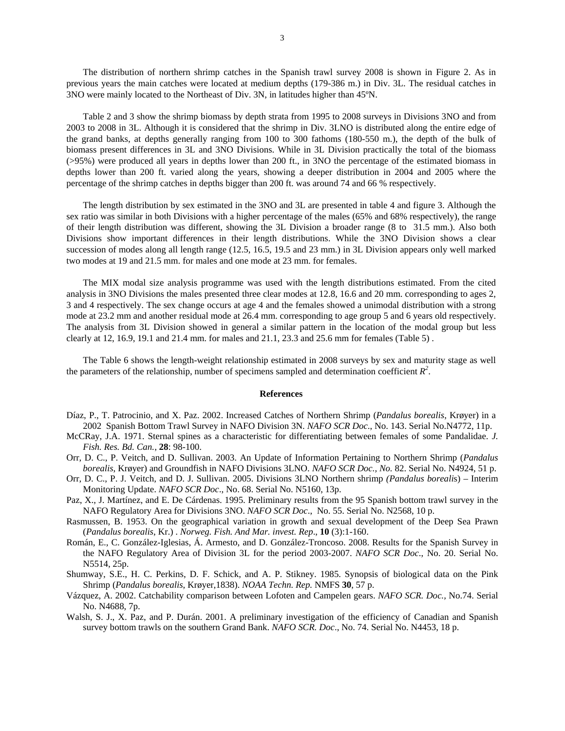The distribution of northern shrimp catches in the Spanish trawl survey 2008 is shown in Figure 2. As in previous years the main catches were located at medium depths (179-386 m.) in Div. 3L. The residual catches in 3NO were mainly located to the Northeast of Div. 3N, in latitudes higher than 45ºN.

Table 2 and 3 show the shrimp biomass by depth strata from 1995 to 2008 surveys in Divisions 3NO and from 2003 to 2008 in 3L. Although it is considered that the shrimp in Div. 3LNO is distributed along the entire edge of the grand banks, at depths generally ranging from 100 to 300 fathoms (180-550 m.), the depth of the bulk of biomass present differences in 3L and 3NO Divisions. While in 3L Division practically the total of the biomass (>95%) were produced all years in depths lower than 200 ft., in 3NO the percentage of the estimated biomass in depths lower than 200 ft. varied along the years, showing a deeper distribution in 2004 and 2005 where the percentage of the shrimp catches in depths bigger than 200 ft. was around 74 and 66 % respectively.

The length distribution by sex estimated in the 3NO and 3L are presented in table 4 and figure 3. Although the sex ratio was similar in both Divisions with a higher percentage of the males (65% and 68% respectively), the range of their length distribution was different, showing the 3L Division a broader range (8 to 31.5 mm.). Also both Divisions show important differences in their length distributions. While the 3NO Division shows a clear succession of modes along all length range (12.5, 16.5, 19.5 and 23 mm.) in 3L Division appears only well marked two modes at 19 and 21.5 mm. for males and one mode at 23 mm. for females.

The MIX modal size analysis programme was used with the length distributions estimated. From the cited analysis in 3NO Divisions the males presented three clear modes at 12.8, 16.6 and 20 mm. corresponding to ages 2, 3 and 4 respectively. The sex change occurs at age 4 and the females showed a unimodal distribution with a strong mode at 23.2 mm and another residual mode at 26.4 mm. corresponding to age group 5 and 6 years old respectively. The analysis from 3L Division showed in general a similar pattern in the location of the modal group but less clearly at 12, 16.9, 19.1 and 21.4 mm. for males and 21.1, 23.3 and 25.6 mm for females (Table 5) .

The Table 6 shows the length-weight relationship estimated in 2008 surveys by sex and maturity stage as well the parameters of the relationship, number of specimens sampled and determination coefficient  $R^2$ .

#### **References**

- Díaz, P., T. Patrocinio, and X. Paz. 2002. Increased Catches of Northern Shrimp (*Pandalus borealis*, Krøyer) in a 2002 Spanish Bottom Trawl Survey in NAFO Division 3N. *NAFO SCR Doc*., No. 143. Serial No.N4772, 11p.
- McCRay, J.A. 1971. Sternal spines as a characteristic for differentiating between females of some Pandalidae. *J. Fish. Res. Bd. Can.*, **28**: 98-100.
- Orr, D. C., P. Veitch, and D. Sullivan. 2003. An Update of Information Pertaining to Northern Shrimp (*Pandalus borealis*, Krøyer) and Groundfish in NAFO Divisions 3LNO. *NAFO SCR Doc., No.* 82. Serial No. N4924, 51 p.
- Orr, D. C., P. J. Veitch, and D. J. Sullivan. 2005. Divisions 3LNO Northern shrimp *(Pandalus boreali*s) Interim Monitoring Update. *NAFO SCR Doc*., No. 68. Serial No. N5160, 13p.
- Paz, X., J. Martínez, and E. De Cárdenas. 1995. Preliminary results from the 95 Spanish bottom trawl survey in the NAFO Regulatory Area for Divisions 3NO. *NAFO SCR Doc*., No. 55. Serial No. N2568, 10 p.
- Rasmussen, B. 1953. On the geographical variation in growth and sexual development of the Deep Sea Prawn (*Pandalus borealis*, Kr.) . *Norweg. Fish. And Mar. invest. Rep*., **10** (3):1-160.
- Román, E., C. González-Iglesias, Á. Armesto, and D. González-Troncoso. 2008. Results for the Spanish Survey in the NAFO Regulatory Area of Division 3L for the period 2003-2007. *NAFO SCR Doc*., No. 20. Serial No. N5514, 25p.
- Shumway, S.E., H. C. Perkins, D. F. Schick, and A. P. Stikney. 1985. Synopsis of biological data on the Pink Shrimp (*Pandalus borealis*, Krøyer,1838). *NOAA Techn. Rep.* NMFS **30**, 57 p.
- Vázquez, A. 2002. Catchability comparison between Lofoten and Campelen gears. *NAFO SCR. Doc.,* No.74. Serial No. N4688, 7p.
- Walsh, S. J., X. Paz, and P. Durán. 2001. A preliminary investigation of the efficiency of Canadian and Spanish survey bottom trawls on the southern Grand Bank. *NAFO SCR. Doc*., No. 74. Serial No. N4453, 18 p.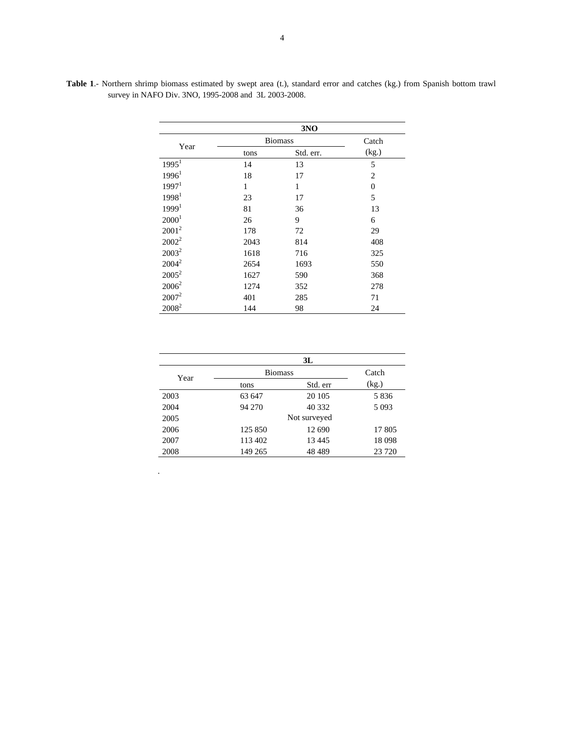|                   |                | 3NO       |                |
|-------------------|----------------|-----------|----------------|
| Year              | <b>Biomass</b> | Catch     |                |
|                   | tons           | Std. err. | (kg.)          |
| 1995 <sup>1</sup> | 14             | 13        | 5              |
| 1996 <sup>1</sup> | 18             | 17        | $\overline{2}$ |
| 1997 <sup>1</sup> | 1              | 1         | $\theta$       |
| 1998 <sup>1</sup> | 23             | 17        | 5              |
| 1999 <sup>1</sup> | 81             | 36        | 13             |
| 2000 <sup>1</sup> | 26             | 9         | 6              |
| $2001^2$          | 178            | 72        | 29             |
| $2002^2$          | 2043           | 814       | 408            |
| $2003^2$          | 1618           | 716       | 325            |
| $2004^2$          | 2654           | 1693      | 550            |
| $2005^2$          | 1627           | 590       | 368            |
| $2006^2$          | 1274           | 352       | 278            |
| $2007^2$          | 401            | 285       | 71             |
| $2008^2$          | 144            | 98        | 24             |

**Table 1**.- Northern shrimp biomass estimated by swept area (t.), standard error and catches (kg.) from Spanish bottom trawl survey in NAFO Div. 3NO, 1995-2008 and 3L 2003-2008.

|      |                | 3L           |         |
|------|----------------|--------------|---------|
| Year | <b>Biomass</b> | Catch        |         |
|      | tons           | Std. err     | (kg.)   |
| 2003 | 63 647         | 20 10 5      | 5836    |
| 2004 | 94 270         | 40 332       | 5 0 9 3 |
| 2005 |                | Not surveyed |         |
| 2006 | 125 850        | 12 690       | 17 805  |
| 2007 | 113 402        | 13 445       | 18 0 98 |
| 2008 | 149 265        | 48 4 89      | 23 7 20 |

.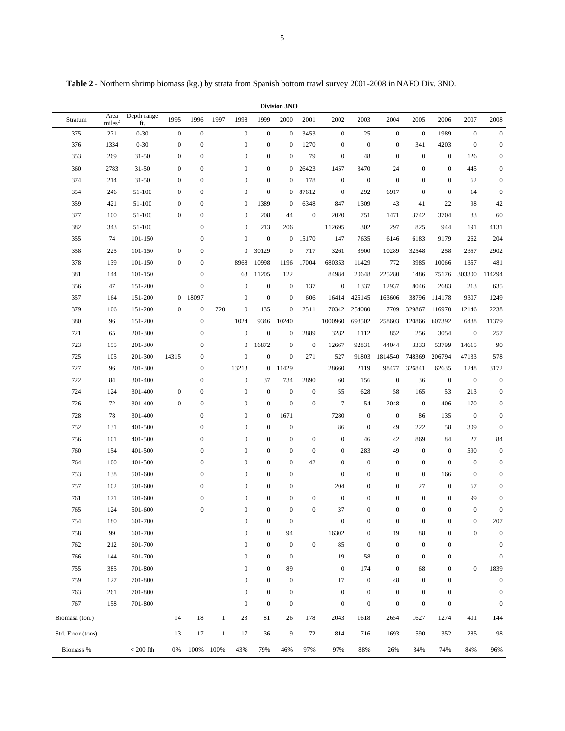|  |  |  |  | Table 2.- Northern shrimp biomass (kg.) by strata from Spanish bottom trawl survey 2001-2008 in NAFO Div. 3NO. |  |  |  |
|--|--|--|--|----------------------------------------------------------------------------------------------------------------|--|--|--|
|  |  |  |  |                                                                                                                |  |  |  |

| Division 3NO      |                            |                    |                  |                  |              |                  |                  |                  |                  |                  |                  |                  |                  |                  |                  |                  |
|-------------------|----------------------------|--------------------|------------------|------------------|--------------|------------------|------------------|------------------|------------------|------------------|------------------|------------------|------------------|------------------|------------------|------------------|
| Stratum           | Area<br>miles <sup>2</sup> | Depth range<br>ft. | 1995             | 1996             | 1997         | 1998             | 1999             | 2000             | 2001             | 2002             | 2003             | 2004             | 2005             | 2006             | 2007             | 2008             |
| 375               | 271                        | $0 - 30$           | $\boldsymbol{0}$ | $\boldsymbol{0}$ |              | $\boldsymbol{0}$ | $\boldsymbol{0}$ | $\boldsymbol{0}$ | 3453             | $\boldsymbol{0}$ | 25               | $\overline{0}$   | $\mathbf{0}$     | 1989             | $\boldsymbol{0}$ | $\boldsymbol{0}$ |
| 376               | 1334                       | $0 - 30$           | $\boldsymbol{0}$ | $\boldsymbol{0}$ |              | $\boldsymbol{0}$ | $\boldsymbol{0}$ | $\mathbf{0}$     | 1270             | $\mathbf{0}$     | $\boldsymbol{0}$ | $\boldsymbol{0}$ | 341              | 4203             | $\mathbf{0}$     | $\boldsymbol{0}$ |
| 353               | 269                        | $31 - 50$          | $\mathbf{0}$     | $\boldsymbol{0}$ |              | $\boldsymbol{0}$ | $\boldsymbol{0}$ | $\mathbf{0}$     | 79               | $\boldsymbol{0}$ | 48               | $\boldsymbol{0}$ | $\boldsymbol{0}$ | $\boldsymbol{0}$ | 126              | $\boldsymbol{0}$ |
| 360               | 2783                       | $31 - 50$          | $\boldsymbol{0}$ | $\mathbf{0}$     |              | $\boldsymbol{0}$ | $\boldsymbol{0}$ | $\boldsymbol{0}$ | 26423            | 1457             | 3470             | 24               | $\mathbf{0}$     | $\boldsymbol{0}$ | 445              | $\boldsymbol{0}$ |
| 374               | 214                        | $31 - 50$          | $\boldsymbol{0}$ | $\boldsymbol{0}$ |              | $\boldsymbol{0}$ | $\boldsymbol{0}$ | $\mathbf{0}$     | 178              | $\boldsymbol{0}$ | $\boldsymbol{0}$ | $\boldsymbol{0}$ | $\boldsymbol{0}$ | $\boldsymbol{0}$ | 62               | $\boldsymbol{0}$ |
| 354               | 246                        | 51-100             | $\boldsymbol{0}$ | $\boldsymbol{0}$ |              | $\boldsymbol{0}$ | $\boldsymbol{0}$ | $\mathbf{0}$     | 87612            | $\boldsymbol{0}$ | 292              | 6917             | $\mathbf{0}$     | $\boldsymbol{0}$ | 14               | $\boldsymbol{0}$ |
| 359               | 421                        | 51-100             | $\boldsymbol{0}$ | $\boldsymbol{0}$ |              | $\boldsymbol{0}$ | 1389             | $\boldsymbol{0}$ | 6348             | 847              | 1309             | 43               | 41               | 22               | 98               | 42               |
| 377               | 100                        | 51-100             | $\boldsymbol{0}$ | $\boldsymbol{0}$ |              | $\boldsymbol{0}$ | 208              | 44               | $\mathbf{0}$     | 2020             | 751              | 1471             | 3742             | 3704             | 83               | 60               |
| 382               | 343                        | 51-100             |                  | $\boldsymbol{0}$ |              | $\boldsymbol{0}$ | 213              | 206              |                  | 112695           | 302              | 297              | 825              | 944              | 191              | 4131             |
| 355               | 74                         | 101-150            |                  | $\mathbf{0}$     |              | $\boldsymbol{0}$ | $\mathbf{0}$     | $\boldsymbol{0}$ | 15170            | 147              | 7635             | 6146             | 6183             | 9179             | 262              | 204              |
| 358               | 225                        | 101-150            | $\mathbf{0}$     | $\boldsymbol{0}$ |              | $\boldsymbol{0}$ | 30129            | $\mathbf{0}$     | 717              | 3261             | 3900             | 10289            | 32548            | 258              | 2357             | 2902             |
| 378               | 139                        | 101-150            | $\boldsymbol{0}$ | $\boldsymbol{0}$ |              | 8968             | 10998            | 1196             | 17004            | 680353           | 11429            | 772              | 3985             | 10066            | 1357             | 481              |
| 381               | 144                        | 101-150            |                  | $\boldsymbol{0}$ |              | 63               | 11205            | 122              |                  | 84984            | 20648            | 225280           | 1486             | 75176            | 303300           | 114294           |
| 356               | 47                         | 151-200            |                  | $\boldsymbol{0}$ |              | $\mathbf{0}$     | $\boldsymbol{0}$ | $\mathbf{0}$     | 137              | $\mathbf{0}$     | 1337             | 12937            | 8046             | 2683             | 213              | 635              |
| 357               | 164                        | 151-200            | $\overline{0}$   | 18097            |              | $\boldsymbol{0}$ | $\boldsymbol{0}$ | $\boldsymbol{0}$ | 606              | 16414            | 425145           | 163606           | 38796            | 114178           | 9307             | 1249             |
| 379               | 106                        | 151-200            | $\mathbf{0}$     | $\boldsymbol{0}$ | 720          | $\boldsymbol{0}$ | 135              | $\boldsymbol{0}$ | 12511            | 70342            | 254080           | 7709             | 329867           | 116970           | 12146            | 2238             |
| 380               | 96                         | 151-200            |                  | $\boldsymbol{0}$ |              | 1024             | 9346             | 10240            |                  | 1000960          | 698502           | 258603           | 120866           | 607392           | 6488             | 11379            |
| 721               | 65                         | 201-300            |                  | $\mathbf{0}$     |              | $\boldsymbol{0}$ | $\boldsymbol{0}$ | $\boldsymbol{0}$ | 2889             | 3282             | 1112             | 852              | 256              | 3054             | $\mathbf{0}$     | 257              |
| 723               | 155                        | 201-300            |                  | $\mathbf{0}$     |              | $\boldsymbol{0}$ | 16872            | $\mathbf{0}$     | $\mathbf{0}$     | 12667            | 92831            | 44044            | 3333             | 53799            | 14615            | 90               |
| 725               | 105                        | 201-300            | 14315            | $\boldsymbol{0}$ |              | $\boldsymbol{0}$ | $\mathbf{0}$     | $\mathbf{0}$     | 271              | 527              | 91803            | 1814540          | 748369           | 206794           | 47133            | 578              |
| 727               | 96                         | 201-300            |                  | $\boldsymbol{0}$ |              | 13213            | $\boldsymbol{0}$ | 11429            |                  | 28660            | 2119             | 98477            | 326841           | 62635            | 1248             | 3172             |
| 722               | 84                         | 301-400            |                  | $\mathbf{0}$     |              | $\boldsymbol{0}$ | 37               | 734              | 2890             | 60               | 156              | $\mathbf{0}$     | 36               | $\mathbf{0}$     | $\boldsymbol{0}$ | $\boldsymbol{0}$ |
| 724               | 124                        | 301-400            | $\mathbf{0}$     | $\boldsymbol{0}$ |              | $\boldsymbol{0}$ | $\boldsymbol{0}$ | $\boldsymbol{0}$ | $\mathbf{0}$     | 55               | 628              | 58               | 165              | 53               | 213              | $\boldsymbol{0}$ |
| 726               | 72                         | 301-400            | $\mathbf{0}$     | $\boldsymbol{0}$ |              | $\boldsymbol{0}$ | $\boldsymbol{0}$ | $\boldsymbol{0}$ | $\mathbf{0}$     | $\overline{7}$   | 54               | 2048             | $\mathbf{0}$     | 406              | 170              | $\boldsymbol{0}$ |
| 728               | 78                         | 301-400            |                  | $\boldsymbol{0}$ |              | $\boldsymbol{0}$ | $\boldsymbol{0}$ | 1671             |                  | 7280             | $\boldsymbol{0}$ | $\mathbf{0}$     | 86               | 135              | $\boldsymbol{0}$ | $\boldsymbol{0}$ |
| 752               | 131                        | 401-500            |                  | $\overline{0}$   |              | $\boldsymbol{0}$ | $\boldsymbol{0}$ | $\boldsymbol{0}$ |                  | 86               | $\boldsymbol{0}$ | 49               | 222              | 58               | 309              | $\boldsymbol{0}$ |
| 756               | 101                        | 401-500            |                  | $\mathbf{0}$     |              | $\boldsymbol{0}$ | $\boldsymbol{0}$ | $\mathbf{0}$     | $\boldsymbol{0}$ | $\mathbf{0}$     | 46               | 42               | 869              | 84               | 27               | 84               |
| 760               | 154                        | 401-500            |                  | $\mathbf{0}$     |              | $\mathbf{0}$     | $\boldsymbol{0}$ | $\mathbf{0}$     | $\mathbf{0}$     | $\boldsymbol{0}$ | 283              | 49               | $\boldsymbol{0}$ | $\boldsymbol{0}$ | 590              | $\boldsymbol{0}$ |
| 764               | 100                        | 401-500            |                  | $\boldsymbol{0}$ |              | $\boldsymbol{0}$ | $\boldsymbol{0}$ | $\mathbf{0}$     | 42               | $\mathbf{0}$     | $\boldsymbol{0}$ | $\boldsymbol{0}$ | $\boldsymbol{0}$ | $\boldsymbol{0}$ | $\boldsymbol{0}$ | $\boldsymbol{0}$ |
| 753               | 138                        | 501-600            |                  | $\overline{0}$   |              | $\boldsymbol{0}$ | $\mathbf{0}$     | $\boldsymbol{0}$ |                  | $\mathbf{0}$     | $\boldsymbol{0}$ | $\boldsymbol{0}$ | $\boldsymbol{0}$ | 166              | $\boldsymbol{0}$ | $\boldsymbol{0}$ |
| 757               | 102                        | 501-600            |                  | $\boldsymbol{0}$ |              | $\boldsymbol{0}$ | $\boldsymbol{0}$ | $\boldsymbol{0}$ |                  | 204              | $\boldsymbol{0}$ | $\boldsymbol{0}$ | 27               | $\boldsymbol{0}$ | 67               | $\boldsymbol{0}$ |
| 761               | 171                        | 501-600            |                  | $\boldsymbol{0}$ |              | $\boldsymbol{0}$ | $\boldsymbol{0}$ | $\mathbf{0}$     | $\boldsymbol{0}$ | $\boldsymbol{0}$ | $\boldsymbol{0}$ | $\boldsymbol{0}$ | $\boldsymbol{0}$ | $\boldsymbol{0}$ | 99               | $\boldsymbol{0}$ |
| 765               | 124                        | 501-600            |                  | $\mathbf{0}$     |              | $\mathbf{0}$     | $\mathbf{0}$     | $\boldsymbol{0}$ | $\boldsymbol{0}$ | 37               | $\mathbf{0}$     | $\mathbf{0}$     | $\boldsymbol{0}$ | $\mathbf{0}$     | $\mathbf{0}$     | $\boldsymbol{0}$ |
| 754               | 180                        | 601-700            |                  |                  |              | $\boldsymbol{0}$ | $\boldsymbol{0}$ | $\mathbf{0}$     |                  | $\mathbf{0}$     | $\mathbf{0}$     | $\boldsymbol{0}$ | $\boldsymbol{0}$ | $\boldsymbol{0}$ | $\mathbf{0}$     | 207              |
| 758               | 99                         | 601-700            |                  |                  |              | $\boldsymbol{0}$ | $\boldsymbol{0}$ | 94               |                  | 16302            | $\boldsymbol{0}$ | 19               | 88               | $\boldsymbol{0}$ | $\overline{0}$   | $\boldsymbol{0}$ |
| 762               | 212                        | 601-700            |                  |                  |              | $\boldsymbol{0}$ | $\boldsymbol{0}$ | $\boldsymbol{0}$ | $\mathbf{0}$     | 85               | $\boldsymbol{0}$ | $\boldsymbol{0}$ | $\boldsymbol{0}$ | $\boldsymbol{0}$ |                  | $\boldsymbol{0}$ |
| 766               | 144                        | 601-700            |                  |                  |              | $\boldsymbol{0}$ | $\boldsymbol{0}$ | $\mathbf{0}$     |                  | 19               | 58               | $\boldsymbol{0}$ | $\boldsymbol{0}$ | $\boldsymbol{0}$ |                  | $\mathbf{0}$     |
| 755               | 385                        | 701-800            |                  |                  |              | $\boldsymbol{0}$ | $\boldsymbol{0}$ | 89               |                  | $\mathbf{0}$     | 174              | $\boldsymbol{0}$ | 68               | $\boldsymbol{0}$ | $\boldsymbol{0}$ | 1839             |
| 759               | 127                        | 701-800            |                  |                  |              | $\boldsymbol{0}$ | $\boldsymbol{0}$ | $\boldsymbol{0}$ |                  | 17               | $\boldsymbol{0}$ | 48               | $\mathbf{0}$     | $\boldsymbol{0}$ |                  | $\boldsymbol{0}$ |
| 763               | 261                        | 701-800            |                  |                  |              | $\mathbf{0}$     | $\boldsymbol{0}$ | $\boldsymbol{0}$ |                  | $\boldsymbol{0}$ | $\boldsymbol{0}$ | $\boldsymbol{0}$ | $\boldsymbol{0}$ | $\boldsymbol{0}$ |                  | $\boldsymbol{0}$ |
| 767               | 158                        | 701-800            |                  |                  |              | $\boldsymbol{0}$ | $\boldsymbol{0}$ | $\boldsymbol{0}$ |                  | $\boldsymbol{0}$ | $\boldsymbol{0}$ | $\boldsymbol{0}$ | $\boldsymbol{0}$ | $\boldsymbol{0}$ |                  | $\boldsymbol{0}$ |
| Biomasa (ton.)    |                            |                    | 14               | 18               | $\mathbf{1}$ | 23               | 81               | 26               | 178              | 2043             | 1618             | 2654             | 1627             | 1274             | 401              | 144              |
| Std. Error (tons) |                            |                    | 13               | 17               | $\mathbf{1}$ | 17               | 36               | 9                | 72               | 814              | 716              | 1693             | 590              | 352              | 285              | 98               |
| Biomass %         |                            | $< 200$ fth        | 0%               | 100%             | 100%         | 43%              | 79%              | 46%              | 97%              | 97%              | 88%              | 26%              | 34%              | 74%              | 84%              | 96%              |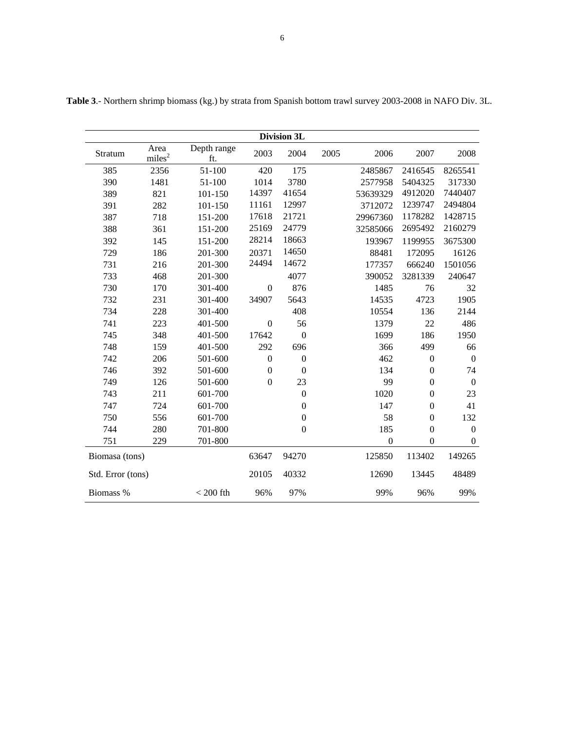| Division 3L       |                            |                    |                  |                  |      |                  |                  |                  |  |
|-------------------|----------------------------|--------------------|------------------|------------------|------|------------------|------------------|------------------|--|
| Stratum           | Area<br>miles <sup>2</sup> | Depth range<br>ft. | 2003             | 2004             | 2005 | 2006             | 2007             | 2008             |  |
| 385               | 2356                       | 51-100             | 420              | 175              |      | 2485867          | 2416545          | 8265541          |  |
| 390               | 1481                       | 51-100             | 1014             | 3780             |      | 2577958          | 5404325          | 317330           |  |
| 389               | 821                        | 101-150            | 14397            | 41654            |      | 53639329         | 4912020          | 7440407          |  |
| 391               | 282                        | 101-150            | 11161            | 12997            |      | 3712072          | 1239747          | 2494804          |  |
| 387               | 718                        | 151-200            | 17618            | 21721            |      | 29967360         | 1178282          | 1428715          |  |
| 388               | 361                        | 151-200            | 25169            | 24779            |      | 32585066         | 2695492          | 2160279          |  |
| 392               | 145                        | 151-200            | 28214            | 18663            |      | 193967           | 1199955          | 3675300          |  |
| 729               | 186                        | 201-300            | 20371            | 14650            |      | 88481            | 172095           | 16126            |  |
| 731               | 216                        | 201-300            | 24494            | 14672            |      | 177357           | 666240           | 1501056          |  |
| 733               | 468                        | 201-300            |                  | 4077             |      | 390052           | 3281339          | 240647           |  |
| 730               | 170                        | 301-400            | $\boldsymbol{0}$ | 876              |      | 1485             | 76               | 32               |  |
| 732               | 231                        | 301-400            | 34907            | 5643             |      | 14535            | 4723             | 1905             |  |
| 734               | 228                        | 301-400            |                  | 408              |      | 10554            | 136              | 2144             |  |
| 741               | 223                        | 401-500            | $\boldsymbol{0}$ | 56               |      | 1379             | 22               | 486              |  |
| 745               | 348                        | 401-500            | 17642            | $\boldsymbol{0}$ |      | 1699             | 186              | 1950             |  |
| 748               | 159                        | 401-500            | 292              | 696              |      | 366              | 499              | 66               |  |
| 742               | 206                        | 501-600            | $\boldsymbol{0}$ | $\boldsymbol{0}$ |      | 462              | $\boldsymbol{0}$ | $\boldsymbol{0}$ |  |
| 746               | 392                        | 501-600            | $\boldsymbol{0}$ | $\overline{0}$   |      | 134              | $\boldsymbol{0}$ | 74               |  |
| 749               | 126                        | 501-600            | $\boldsymbol{0}$ | 23               |      | 99               | $\boldsymbol{0}$ | $\mathbf{0}$     |  |
| 743               | 211                        | 601-700            |                  | $\boldsymbol{0}$ |      | 1020             | $\boldsymbol{0}$ | 23               |  |
| 747               | 724                        | 601-700            |                  | $\overline{0}$   |      | 147              | $\overline{0}$   | 41               |  |
| 750               | 556                        | 601-700            |                  | $\boldsymbol{0}$ |      | 58               | $\boldsymbol{0}$ | 132              |  |
| 744               | 280                        | 701-800            |                  | $\boldsymbol{0}$ |      | 185              | $\boldsymbol{0}$ | $\mathbf{0}$     |  |
| 751               | 229                        | 701-800            |                  |                  |      | $\boldsymbol{0}$ | $\boldsymbol{0}$ | $\boldsymbol{0}$ |  |
| Biomasa (tons)    |                            |                    | 63647            | 94270            |      | 125850           | 113402           | 149265           |  |
| Std. Error (tons) |                            |                    | 20105            | 40332            |      | 12690            | 13445            | 48489            |  |
| Biomass %         |                            | $< 200$ fth        | 96%              | 97%              |      | 99%              | 96%              | 99%              |  |

**Table 3**.- Northern shrimp biomass (kg.) by strata from Spanish bottom trawl survey 2003-2008 in NAFO Div. 3L.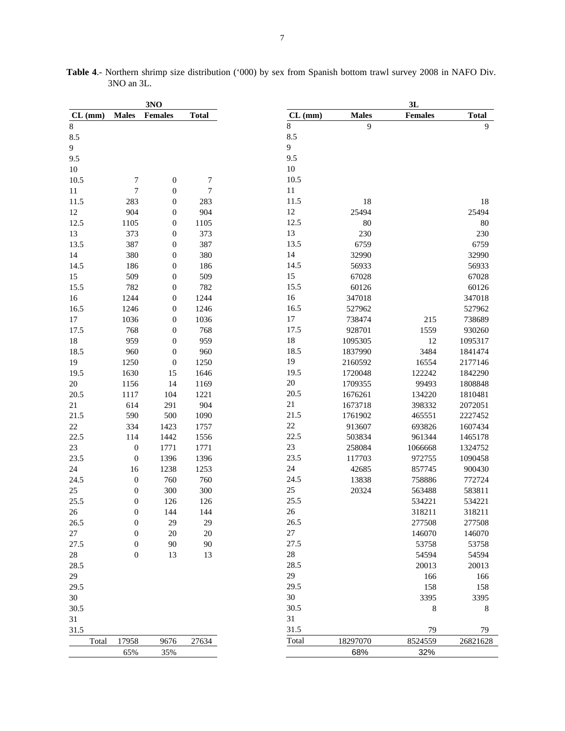|           |                  | 3N <sub>0</sub>  |              |
|-----------|------------------|------------------|--------------|
| $CL$ (mm) | <b>Males</b>     | <b>Females</b>   | <b>Total</b> |
| 8         |                  |                  |              |
| 8.5       |                  |                  |              |
| 9         |                  |                  |              |
| 9.5       |                  |                  |              |
| $10\,$    |                  |                  |              |
| 10.5      | 7                | $\boldsymbol{0}$ | 7            |
| $11\,$    | $\boldsymbol{7}$ | $\boldsymbol{0}$ | 7            |
| 11.5      | 283              | $\boldsymbol{0}$ | 283          |
| $12\,$    | 904              | $\boldsymbol{0}$ | 904          |
| 12.5      | 1105             | $\boldsymbol{0}$ | 1105         |
| 13        | 373              | $\boldsymbol{0}$ | 373          |
| 13.5      | 387              | $\boldsymbol{0}$ | 387          |
| 14        | 380              | $\boldsymbol{0}$ | 380          |
| 14.5      | 186              | $\boldsymbol{0}$ | 186          |
| 15        | 509              | $\boldsymbol{0}$ | 509          |
| 15.5      | 782              | $\boldsymbol{0}$ | 782          |
| 16        | 1244             | $\boldsymbol{0}$ | 1244         |
| 16.5      | 1246             | $\boldsymbol{0}$ | 1246         |
| 17        | 1036             | $\boldsymbol{0}$ | 1036         |
| 17.5      | 768              | $\boldsymbol{0}$ | 768          |
| $18\,$    | 959              | $\boldsymbol{0}$ | 959          |
| 18.5      | 960              | $\boldsymbol{0}$ | 960          |
| 19        | 1250             | $\boldsymbol{0}$ | 1250         |
| 19.5      |                  |                  |              |
|           | 1630             | 15               | 1646         |
| 20        | 1156             | 14               | 1169         |
| 20.5      | 1117             | 104              | 1221         |
| 21        | 614              | 291              | 904          |
| 21.5      | 590              | 500              | 1090         |
| $22\,$    | 334              | 1423             | 1757         |
| 22.5      | 114              | 1442             | 1556         |
| 23        | $\boldsymbol{0}$ | 1771             | 1771         |
| 23.5      | $\boldsymbol{0}$ | 1396             | 1396         |
| 24        | 16               | 1238             | 1253         |
| 24.5      | $\boldsymbol{0}$ | 760              | 760          |
| 25        | $\boldsymbol{0}$ | 300              | 300          |
| 25.5      | $\boldsymbol{0}$ | 126              | 126          |
| 26        | 0                | 144              | 144          |
| 26.5      | $\mathbf{0}$     | 29               | 29           |
| 27        | $\boldsymbol{0}$ | $20\,$           | $20\,$       |
| 27.5      | 0                | 90               | 90           |
| $28\,$    | $\boldsymbol{0}$ | 13               | 13           |
| 28.5      |                  |                  |              |
| 29        |                  |                  |              |
| 29.5      |                  |                  |              |
| 30        |                  |                  |              |
| 30.5      |                  |                  |              |
| 31        |                  |                  |              |
| 31.5      |                  |                  |              |
| Total     | 17958            | 9676             | 27634        |
|           |                  |                  |              |
|           | 65%              | 35%              |              |

**Table 4**.- Northern shrimp size distribution ('000) by sex from Spanish bottom trawl survey 2008 in NAFO Div. 3NO an 3L.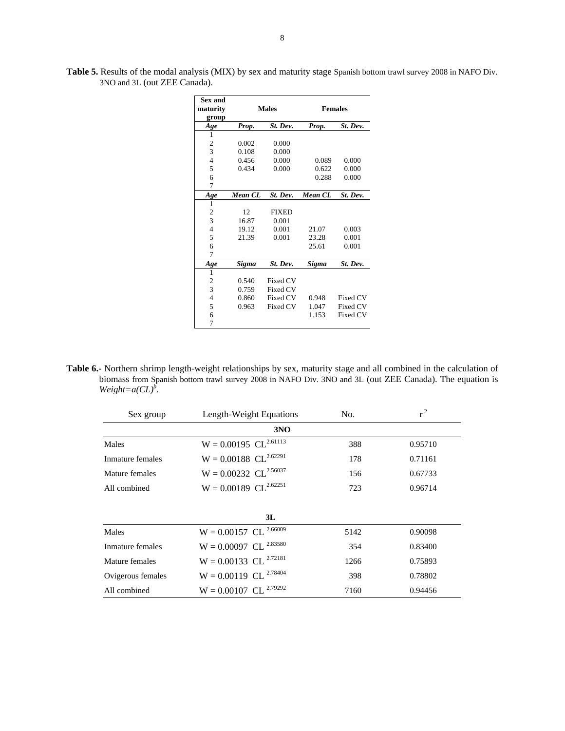| <b>Sex and</b><br>maturity<br>group |         | <b>Males</b> | <b>Females</b> |                 |  |  |  |  |
|-------------------------------------|---------|--------------|----------------|-----------------|--|--|--|--|
| Age                                 | Prop.   | St. Dev.     | Prop.          | St. Dev.        |  |  |  |  |
| 1                                   |         |              |                |                 |  |  |  |  |
| 2                                   | 0.002   | 0.000        |                |                 |  |  |  |  |
| 3                                   | 0.108   | 0.000        |                |                 |  |  |  |  |
| $\overline{4}$                      | 0.456   | 0.000        | 0.089          | 0.000           |  |  |  |  |
| 5                                   | 0.434   | 0.000        | 0.622          | 0.000           |  |  |  |  |
| 6                                   |         |              | 0.288          | 0.000           |  |  |  |  |
| 7                                   |         |              |                |                 |  |  |  |  |
| Age                                 | Mean CL | St. Dev.     | <b>Mean CL</b> | St. Dev.        |  |  |  |  |
| 1                                   |         |              |                |                 |  |  |  |  |
| $\overline{\mathbf{c}}$             | 12      | <b>FIXED</b> |                |                 |  |  |  |  |
| $\overline{\mathbf{3}}$             | 16.87   | 0.001        |                |                 |  |  |  |  |
| $\overline{4}$                      | 19.12   | 0.001        | 21.07          | 0.003           |  |  |  |  |
| 5                                   | 21.39   | 0.001        | 23.28          | 0.001           |  |  |  |  |
| 6                                   |         |              | 25.61          | 0.001           |  |  |  |  |
| 7                                   |         |              |                |                 |  |  |  |  |
| Age                                 | Sigma   | St. Dev.     | Sigma          | St. Dev.        |  |  |  |  |
| 1                                   |         |              |                |                 |  |  |  |  |
| $\overline{c}$                      | 0.540   | Fixed CV     |                |                 |  |  |  |  |
| $\overline{3}$                      | 0.759   | Fixed CV     |                |                 |  |  |  |  |
| $\overline{4}$                      | 0.860   | Fixed CV     | 0.948          | Fixed CV        |  |  |  |  |
| 5                                   | 0.963   | Fixed CV     | 1.047          | Fixed CV        |  |  |  |  |
| 6                                   |         |              | 1.153          | <b>Fixed CV</b> |  |  |  |  |
| 7                                   |         |              |                |                 |  |  |  |  |

**Table 5.** Results of the modal analysis (MIX) by sex and maturity stage Spanish bottom trawl survey 2008 in NAFO Div. 3NO and 3L (out ZEE Canada).

**Table 6.-** Northern shrimp length-weight relationships by sex, maturity stage and all combined in the calculation of biomass from Spanish bottom trawl survey 2008 in NAFO Div. 3NO and 3L (out ZEE Canada). The equation is  $Weight = a(CL)^{b}$ .

| Sex group         | Length-Weight Equations             | No.  | $r^2$   |
|-------------------|-------------------------------------|------|---------|
|                   | 3NO                                 |      |         |
| Males             | $W = 0.00195 \text{ CL}^{2.61113}$  | 388  | 0.95710 |
| Inmature females  | $W = 0.00188 \text{ CL}^{2.62291}$  | 178  | 0.71161 |
| Mature females    | $W = 0.00232 \text{ CL}^{2.56037}$  | 156  | 0.67733 |
| All combined      | $W = 0.00189 \text{ CL}^{2.62251}$  | 723  | 0.96714 |
|                   | 3L                                  |      |         |
| Males             | 2.66009<br>$W = 0.00157$ CL         | 5142 | 0.90098 |
| Inmature females  | $W = 0.00097$ CL $^{2.83580}$       | 354  | 0.83400 |
| Mature females    | $W = 0.00133$ CL <sup>2.72181</sup> | 1266 | 0.75893 |
| Ovigerous females | $W = 0.00119$ CL $^{2.78404}$       | 398  | 0.78802 |
| All combined      | 2.79292<br>$W = 0.00107$ CL         | 7160 | 0.94456 |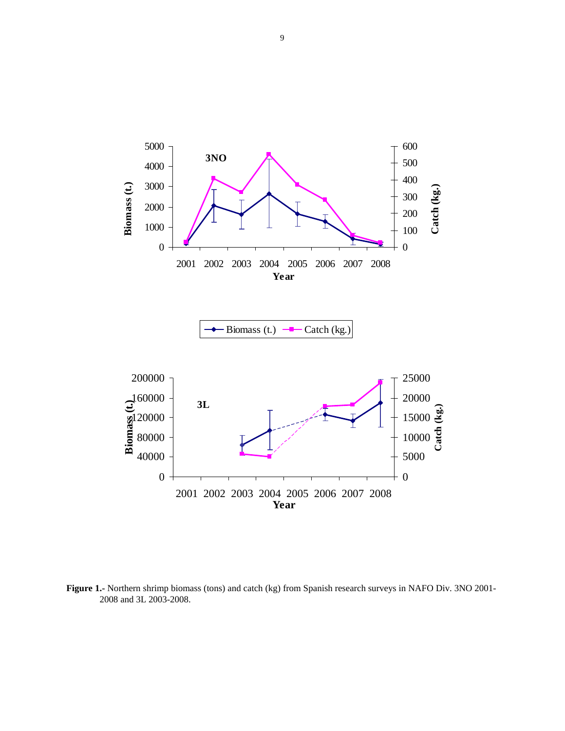

**Figure 1.-** Northern shrimp biomass (tons) and catch (kg) from Spanish research surveys in NAFO Div. 3NO 2001- 2008 and 3L 2003-2008.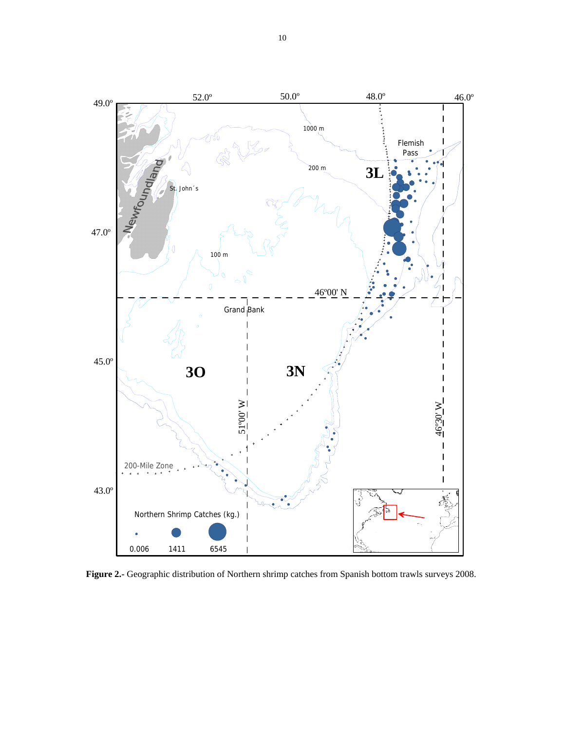

**Figure 2.-** Geographic distribution of Northern shrimp catches from Spanish bottom trawls surveys 2008.